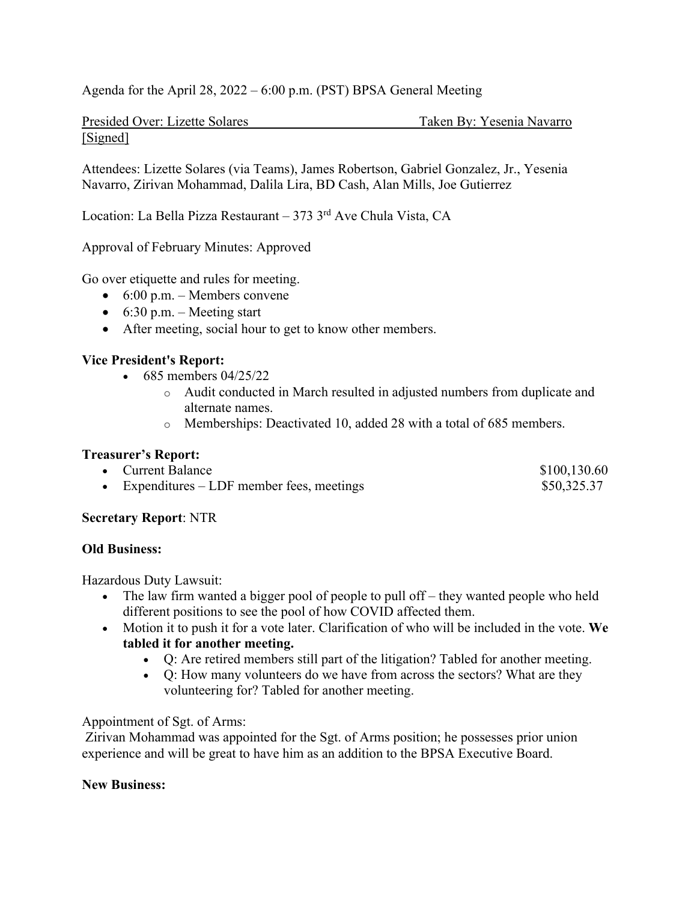Agenda for the April 28, 2022 – 6:00 p.m. (PST) BPSA General Meeting

Presided Over: Lizette Solares Taken By: Yesenia Navarro [Signed]

Attendees: Lizette Solares (via Teams), James Robertson, Gabriel Gonzalez, Jr., Yesenia Navarro, Zirivan Mohammad, Dalila Lira, BD Cash, Alan Mills, Joe Gutierrez

Location: La Bella Pizza Restaurant – 373  $3<sup>rd</sup>$  Ave Chula Vista, CA

Approval of February Minutes: Approved

Go over etiquette and rules for meeting.

- $\bullet$  6:00 p.m. Members convene
- $\bullet$  6:30 p.m. Meeting start
- After meeting, social hour to get to know other members.

## **Vice President's Report:**

- 685 members  $04/25/22$ 
	- o Audit conducted in March resulted in adjusted numbers from duplicate and alternate names.
	- o Memberships: Deactivated 10, added 28 with a total of 685 members.

# **Treasurer's Report:**

- Current Balance \$100,130.60
- Expenditures LDF member fees, meetings  $$50,325.37$

## **Secretary Report**: NTR

## **Old Business:**

Hazardous Duty Lawsuit:

- The law firm wanted a bigger pool of people to pull off they wanted people who held different positions to see the pool of how COVID affected them.
- Motion it to push it for a vote later. Clarification of who will be included in the vote. **We tabled it for another meeting.**
	- Q: Are retired members still part of the litigation? Tabled for another meeting.
	- Q: How many volunteers do we have from across the sectors? What are they volunteering for? Tabled for another meeting.

## Appointment of Sgt. of Arms:

 Zirivan Mohammad was appointed for the Sgt. of Arms position; he possesses prior union experience and will be great to have him as an addition to the BPSA Executive Board.

## **New Business:**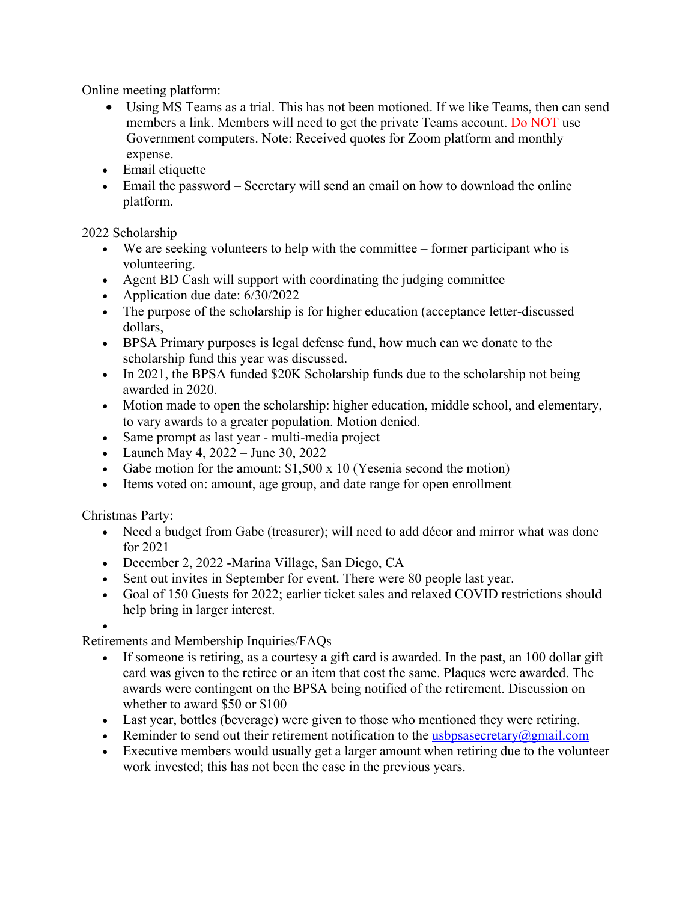Online meeting platform:

- Using MS Teams as a trial. This has not been motioned. If we like Teams, then can send members a link. Members will need to get the private Teams account. Do NOT use Government computers. Note: Received quotes for Zoom platform and monthly expense.
- Email etiquette
- Email the password Secretary will send an email on how to download the online platform.

2022 Scholarship

- $\bullet$  We are seeking volunteers to help with the committee former participant who is volunteering.
- Agent BD Cash will support with coordinating the judging committee
- Application due date: 6/30/2022
- The purpose of the scholarship is for higher education (acceptance letter-discussed dollars,
- BPSA Primary purposes is legal defense fund, how much can we donate to the scholarship fund this year was discussed.
- In 2021, the BPSA funded \$20K Scholarship funds due to the scholarship not being awarded in 2020.
- Motion made to open the scholarship: higher education, middle school, and elementary, to vary awards to a greater population. Motion denied.
- Same prompt as last year multi-media project
- Launch May 4,  $2022 -$  June 30,  $2022$
- Gabe motion for the amount:  $$1,500 \times 10$  (Yesenia second the motion)
- Items voted on: amount, age group, and date range for open enrollment

Christmas Party:

- Need a budget from Gabe (treasurer); will need to add décor and mirror what was done for 2021
- December 2, 2022 -Marina Village, San Diego, CA
- Sent out invites in September for event. There were 80 people last year.
- Goal of 150 Guests for 2022; earlier ticket sales and relaxed COVID restrictions should help bring in larger interest.

 $\bullet$ 

Retirements and Membership Inquiries/FAQs

- If someone is retiring, as a courtesy a gift card is awarded. In the past, an 100 dollar gift card was given to the retiree or an item that cost the same. Plaques were awarded. The awards were contingent on the BPSA being notified of the retirement. Discussion on whether to award \$50 or \$100
- Last year, bottles (beverage) were given to those who mentioned they were retiring.
- Reminder to send out their retirement notification to the usbpsasecretary  $\omega$ gmail.com
- Executive members would usually get a larger amount when retiring due to the volunteer work invested; this has not been the case in the previous years.